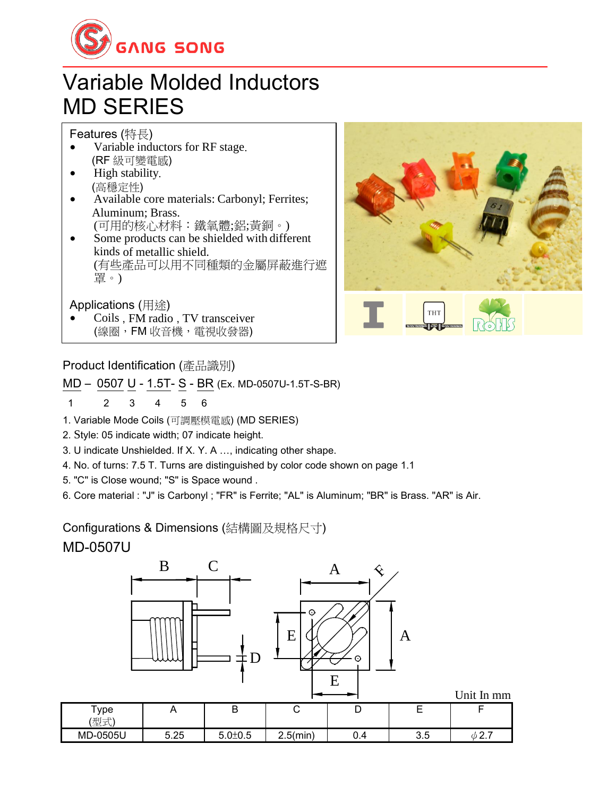

# Variable Molded Inductors MD SERIES

### Features (特長)

- Variable inductors for RF stage. (RF 級可變電感)
- High stability. (高穩定性)
- Available core materials: Carbonyl; Ferrites; Aluminum; Brass.
	- (可用的核心材料:鐵氧體;鋁;黃銅。)
- Some products can be shielded with different kinds of metallic shield. (有些產品可以用不同種類的金屬屏蔽進行遮 罩。)

### Applications (用途)

 Coils , FM radio , TV transceiver (線圈,FM 收音機,電視收發器)



### Product Identification (產品識別)

MD – 0507 U - 1.5T- S - BR (Ex. MD-0507U-1.5T-S-BR)

#### 1 2 3 4 5 6

- 1. Variable Mode Coils (可調壓模電感) (MD SERIES)
- 2. Style: 05 indicate width; 07 indicate height.
- 3. U indicate Unshielded. If X. Y. A …, indicating other shape.
- 4. No. of turns: 7.5 T. Turns are distinguished by color code shown on page 1.1
- 5. "C" is Close wound; "S" is Space wound .
- 6. Core material : "J" is Carbonyl ; "FR" is Ferrite; "AL" is Aluminum; "BR" is Brass. "AR" is Air.

Configurations & Dimensions (結構圖及規格尺寸)

MD-0507U